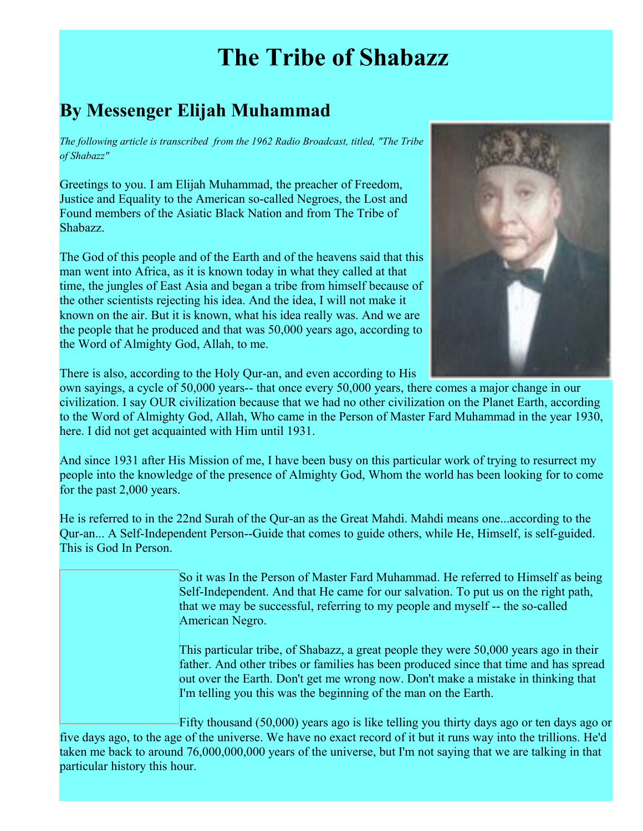# **The Tribe of Shabazz**

## **By Messenger Elijah Muhammad**

*The following article is transcribed from the 1962 Radio Broadcast, titled, "The Tribe of Shabazz"*

Greetings to you. I am Elijah Muhammad, the preacher of Freedom, Justice and Equality to the American so-called Negroes, the Lost and Found members of the Asiatic Black Nation and from The Tribe of Shabazz.

The God of this people and of the Earth and of the heavens said that this man went into Africa, as it is known today in what they called at that time, the jungles of East Asia and began a tribe from himself because of the other scientists rejecting his idea. And the idea, I will not make it known on the air. But it is known, what his idea really was. And we are the people that he produced and that was 50,000 years ago, according to the Word of Almighty God, Allah, to me.



There is also, according to the Holy Qur-an, and even according to His

own sayings, a cycle of 50,000 years-- that once every 50,000 years, there comes a major change in our civilization. I say OUR civilization because that we had no other civilization on the Planet Earth, according to the Word of Almighty God, Allah, Who came in the Person of Master Fard Muhammad in the year 1930, here. I did not get acquainted with Him until 1931.

And since 1931 after His Mission of me, I have been busy on this particular work of trying to resurrect my people into the knowledge of the presence of Almighty God, Whom the world has been looking for to come for the past 2,000 years.

He is referred to in the 22nd Surah of the Qur-an as the Great Mahdi. Mahdi means one...according to the Qur-an... A Self-Independent Person--Guide that comes to guide others, while He, Himself, is self-guided. This is God In Person.

> So it was In the Person of Master Fard Muhammad. He referred to Himself as being Self-Independent. And that He came for our salvation. To put us on the right path, that we may be successful, referring to my people and myself -- the so-called American Negro.

> This particular tribe, of Shabazz, a great people they were 50,000 years ago in their father. And other tribes or families has been produced since that time and has spread out over the Earth. Don't get me wrong now. Don't make a mistake in thinking that I'm telling you this was the beginning of the man on the Earth.

Fifty thousand (50,000) years ago is like telling you thirty days ago or ten days ago or five days ago, to the age of the universe. We have no exact record of it but it runs way into the trillions. He'd taken me back to around 76,000,000,000 years of the universe, but I'm not saying that we are talking in that particular history this hour.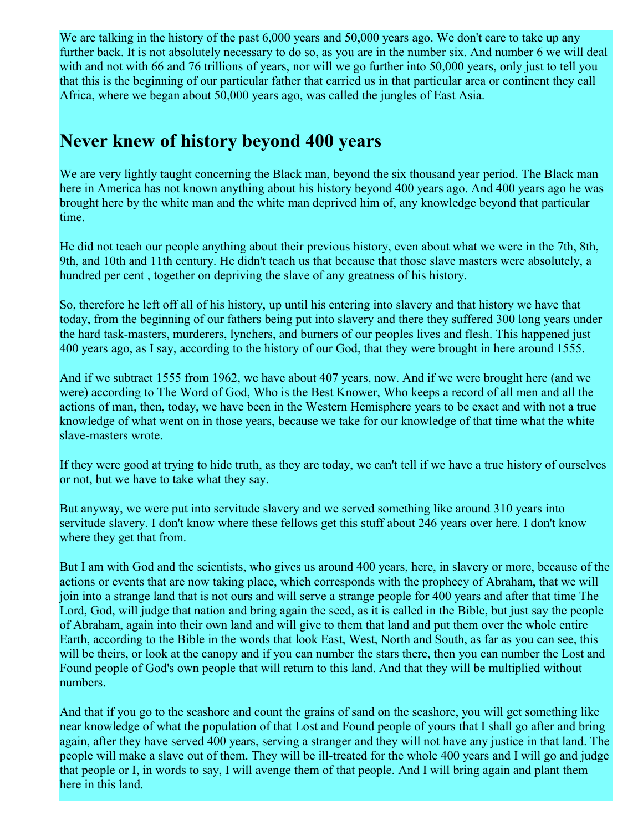We are talking in the history of the past 6,000 years and 50,000 years ago. We don't care to take up any further back. It is not absolutely necessary to do so, as you are in the number six. And number 6 we will deal with and not with 66 and 76 trillions of years, nor will we go further into 50,000 years, only just to tell you that this is the beginning of our particular father that carried us in that particular area or continent they call Africa, where we began about 50,000 years ago, was called the jungles of East Asia.

#### **Never knew of history beyond 400 years**

We are very lightly taught concerning the Black man, beyond the six thousand year period. The Black man here in America has not known anything about his history beyond 400 years ago. And 400 years ago he was brought here by the white man and the white man deprived him of, any knowledge beyond that particular time.

He did not teach our people anything about their previous history, even about what we were in the 7th, 8th, 9th, and 10th and 11th century. He didn't teach us that because that those slave masters were absolutely, a hundred per cent , together on depriving the slave of any greatness of his history.

So, therefore he left off all of his history, up until his entering into slavery and that history we have that today, from the beginning of our fathers being put into slavery and there they suffered 300 long years under the hard task-masters, murderers, lynchers, and burners of our peoples lives and flesh. This happened just 400 years ago, as I say, according to the history of our God, that they were brought in here around 1555.

And if we subtract 1555 from 1962, we have about 407 years, now. And if we were brought here (and we were) according to The Word of God, Who is the Best Knower, Who keeps a record of all men and all the actions of man, then, today, we have been in the Western Hemisphere years to be exact and with not a true knowledge of what went on in those years, because we take for our knowledge of that time what the white slave-masters wrote.

If they were good at trying to hide truth, as they are today, we can't tell if we have a true history of ourselves or not, but we have to take what they say.

But anyway, we were put into servitude slavery and we served something like around 310 years into servitude slavery. I don't know where these fellows get this stuff about 246 years over here. I don't know where they get that from.

But I am with God and the scientists, who gives us around 400 years, here, in slavery or more, because of the actions or events that are now taking place, which corresponds with the prophecy of Abraham, that we will join into a strange land that is not ours and will serve a strange people for 400 years and after that time The Lord, God, will judge that nation and bring again the seed, as it is called in the Bible, but just say the people of Abraham, again into their own land and will give to them that land and put them over the whole entire Earth, according to the Bible in the words that look East, West, North and South, as far as you can see, this will be theirs, or look at the canopy and if you can number the stars there, then you can number the Lost and Found people of God's own people that will return to this land. And that they will be multiplied without numbers.

And that if you go to the seashore and count the grains of sand on the seashore, you will get something like near knowledge of what the population of that Lost and Found people of yours that I shall go after and bring again, after they have served 400 years, serving a stranger and they will not have any justice in that land. The people will make a slave out of them. They will be ill-treated for the whole 400 years and I will go and judge that people or I, in words to say, I will avenge them of that people. And I will bring again and plant them here in this land.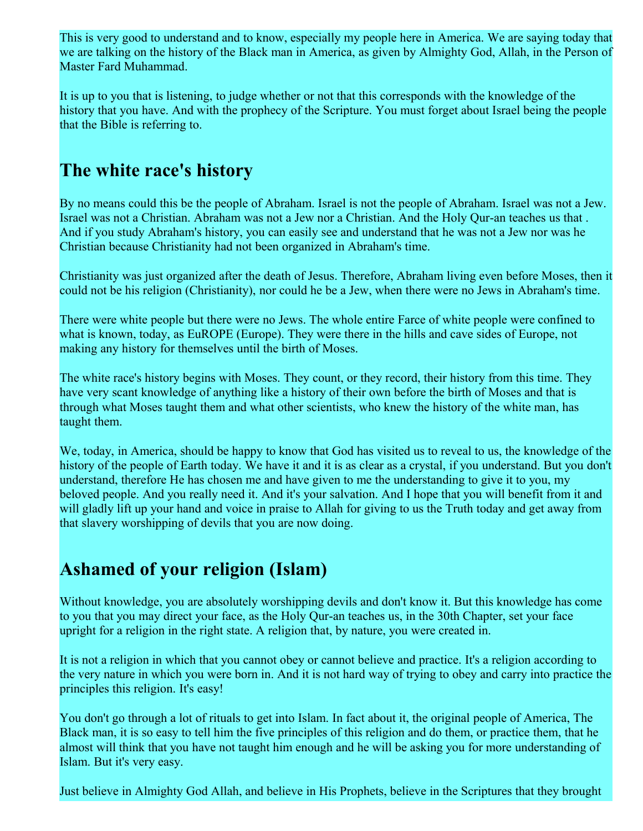This is very good to understand and to know, especially my people here in America. We are saying today that we are talking on the history of the Black man in America, as given by Almighty God, Allah, in the Person of Master Fard Muhammad.

It is up to you that is listening, to judge whether or not that this corresponds with the knowledge of the history that you have. And with the prophecy of the Scripture. You must forget about Israel being the people that the Bible is referring to.

### **The white race's history**

By no means could this be the people of Abraham. Israel is not the people of Abraham. Israel was not a Jew. Israel was not a Christian. Abraham was not a Jew nor a Christian. And the Holy Qur-an teaches us that . And if you study Abraham's history, you can easily see and understand that he was not a Jew nor was he Christian because Christianity had not been organized in Abraham's time.

Christianity was just organized after the death of Jesus. Therefore, Abraham living even before Moses, then it could not be his religion (Christianity), nor could he be a Jew, when there were no Jews in Abraham's time.

There were white people but there were no Jews. The whole entire Farce of white people were confined to what is known, today, as EuROPE (Europe). They were there in the hills and cave sides of Europe, not making any history for themselves until the birth of Moses.

The white race's history begins with Moses. They count, or they record, their history from this time. They have very scant knowledge of anything like a history of their own before the birth of Moses and that is through what Moses taught them and what other scientists, who knew the history of the white man, has taught them.

We, today, in America, should be happy to know that God has visited us to reveal to us, the knowledge of the history of the people of Earth today. We have it and it is as clear as a crystal, if you understand. But you don't understand, therefore He has chosen me and have given to me the understanding to give it to you, my beloved people. And you really need it. And it's your salvation. And I hope that you will benefit from it and will gladly lift up your hand and voice in praise to Allah for giving to us the Truth today and get away from that slavery worshipping of devils that you are now doing.

## **Ashamed of your religion (Islam)**

Without knowledge, you are absolutely worshipping devils and don't know it. But this knowledge has come to you that you may direct your face, as the Holy Qur-an teaches us, in the 30th Chapter, set your face upright for a religion in the right state. A religion that, by nature, you were created in.

It is not a religion in which that you cannot obey or cannot believe and practice. It's a religion according to the very nature in which you were born in. And it is not hard way of trying to obey and carry into practice the principles this religion. It's easy!

You don't go through a lot of rituals to get into Islam. In fact about it, the original people of America, The Black man, it is so easy to tell him the five principles of this religion and do them, or practice them, that he almost will think that you have not taught him enough and he will be asking you for more understanding of Islam. But it's very easy.

Just believe in Almighty God Allah, and believe in His Prophets, believe in the Scriptures that they brought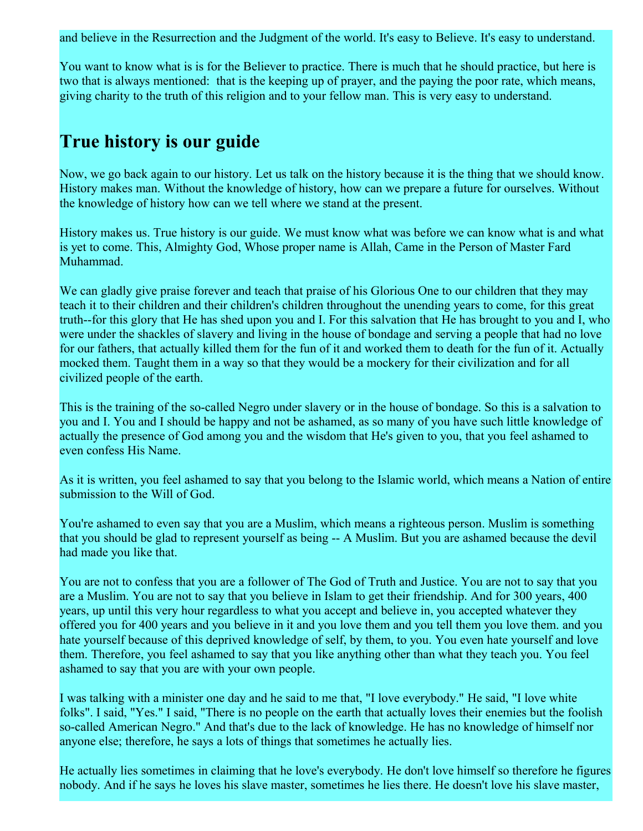and believe in the Resurrection and the Judgment of the world. It's easy to Believe. It's easy to understand.

You want to know what is is for the Believer to practice. There is much that he should practice, but here is two that is always mentioned: that is the keeping up of prayer, and the paying the poor rate, which means, giving charity to the truth of this religion and to your fellow man. This is very easy to understand.

## **True history is our guide**

Now, we go back again to our history. Let us talk on the history because it is the thing that we should know. History makes man. Without the knowledge of history, how can we prepare a future for ourselves. Without the knowledge of history how can we tell where we stand at the present.

History makes us. True history is our guide. We must know what was before we can know what is and what is yet to come. This, Almighty God, Whose proper name is Allah, Came in the Person of Master Fard Muhammad.

We can gladly give praise forever and teach that praise of his Glorious One to our children that they may teach it to their children and their children's children throughout the unending years to come, for this great truth--for this glory that He has shed upon you and I. For this salvation that He has brought to you and I, who were under the shackles of slavery and living in the house of bondage and serving a people that had no love for our fathers, that actually killed them for the fun of it and worked them to death for the fun of it. Actually mocked them. Taught them in a way so that they would be a mockery for their civilization and for all civilized people of the earth.

This is the training of the so-called Negro under slavery or in the house of bondage. So this is a salvation to you and I. You and I should be happy and not be ashamed, as so many of you have such little knowledge of actually the presence of God among you and the wisdom that He's given to you, that you feel ashamed to even confess His Name.

As it is written, you feel ashamed to say that you belong to the Islamic world, which means a Nation of entire submission to the Will of God.

You're ashamed to even say that you are a Muslim, which means a righteous person. Muslim is something that you should be glad to represent yourself as being -- A Muslim. But you are ashamed because the devil had made you like that.

You are not to confess that you are a follower of The God of Truth and Justice. You are not to say that you are a Muslim. You are not to say that you believe in Islam to get their friendship. And for 300 years, 400 years, up until this very hour regardless to what you accept and believe in, you accepted whatever they offered you for 400 years and you believe in it and you love them and you tell them you love them. and you hate yourself because of this deprived knowledge of self, by them, to you. You even hate yourself and love them. Therefore, you feel ashamed to say that you like anything other than what they teach you. You feel ashamed to say that you are with your own people.

I was talking with a minister one day and he said to me that, "I love everybody." He said, "I love white folks". I said, "Yes." I said, "There is no people on the earth that actually loves their enemies but the foolish so-called American Negro." And that's due to the lack of knowledge. He has no knowledge of himself nor anyone else; therefore, he says a lots of things that sometimes he actually lies.

He actually lies sometimes in claiming that he love's everybody. He don't love himself so therefore he figures nobody. And if he says he loves his slave master, sometimes he lies there. He doesn't love his slave master,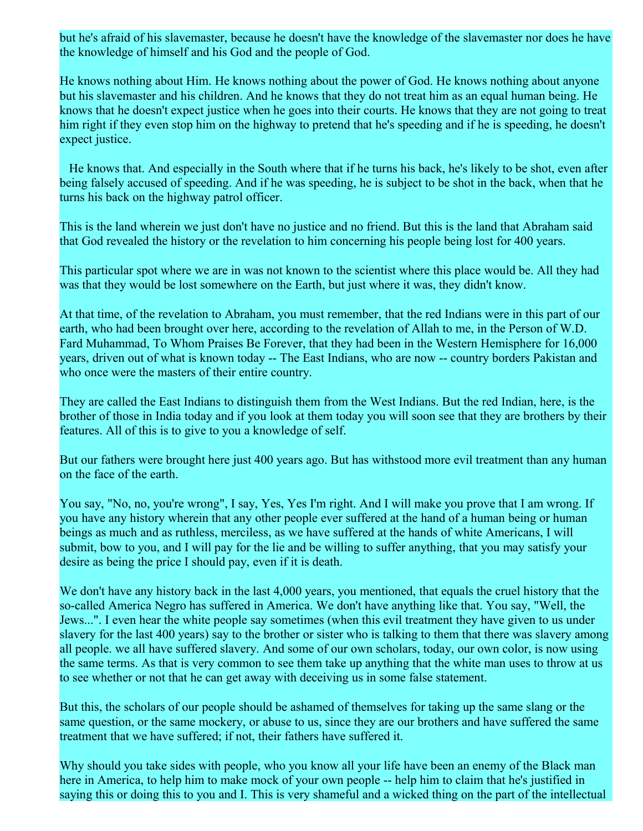but he's afraid of his slavemaster, because he doesn't have the knowledge of the slavemaster nor does he have the knowledge of himself and his God and the people of God.

He knows nothing about Him. He knows nothing about the power of God. He knows nothing about anyone but his slavemaster and his children. And he knows that they do not treat him as an equal human being. He knows that he doesn't expect justice when he goes into their courts. He knows that they are not going to treat him right if they even stop him on the highway to pretend that he's speeding and if he is speeding, he doesn't expect justice.

He knows that. And especially in the South where that if he turns his back, he's likely to be shot, even after being falsely accused of speeding. And if he was speeding, he is subject to be shot in the back, when that he turns his back on the highway patrol officer.

This is the land wherein we just don't have no justice and no friend. But this is the land that Abraham said that God revealed the history or the revelation to him concerning his people being lost for 400 years.

This particular spot where we are in was not known to the scientist where this place would be. All they had was that they would be lost somewhere on the Earth, but just where it was, they didn't know.

At that time, of the revelation to Abraham, you must remember, that the red Indians were in this part of our earth, who had been brought over here, according to the revelation of Allah to me, in the Person of W.D. Fard Muhammad, To Whom Praises Be Forever, that they had been in the Western Hemisphere for 16,000 years, driven out of what is known today -- The East Indians, who are now -- country borders Pakistan and who once were the masters of their entire country.

They are called the East Indians to distinguish them from the West Indians. But the red Indian, here, is the brother of those in India today and if you look at them today you will soon see that they are brothers by their features. All of this is to give to you a knowledge of self.

But our fathers were brought here just 400 years ago. But has withstood more evil treatment than any human on the face of the earth.

You say, "No, no, you're wrong", I say, Yes, Yes I'm right. And I will make you prove that I am wrong. If you have any history wherein that any other people ever suffered at the hand of a human being or human beings as much and as ruthless, merciless, as we have suffered at the hands of white Americans, I will submit, bow to you, and I will pay for the lie and be willing to suffer anything, that you may satisfy your desire as being the price I should pay, even if it is death.

We don't have any history back in the last 4,000 years, you mentioned, that equals the cruel history that the so-called America Negro has suffered in America. We don't have anything like that. You say, "Well, the Jews...". I even hear the white people say sometimes (when this evil treatment they have given to us under slavery for the last 400 years) say to the brother or sister who is talking to them that there was slavery among all people. we all have suffered slavery. And some of our own scholars, today, our own color, is now using the same terms. As that is very common to see them take up anything that the white man uses to throw at us to see whether or not that he can get away with deceiving us in some false statement.

But this, the scholars of our people should be ashamed of themselves for taking up the same slang or the same question, or the same mockery, or abuse to us, since they are our brothers and have suffered the same treatment that we have suffered; if not, their fathers have suffered it.

Why should you take sides with people, who you know all your life have been an enemy of the Black man here in America, to help him to make mock of your own people -- help him to claim that he's justified in saying this or doing this to you and I. This is very shameful and a wicked thing on the part of the intellectual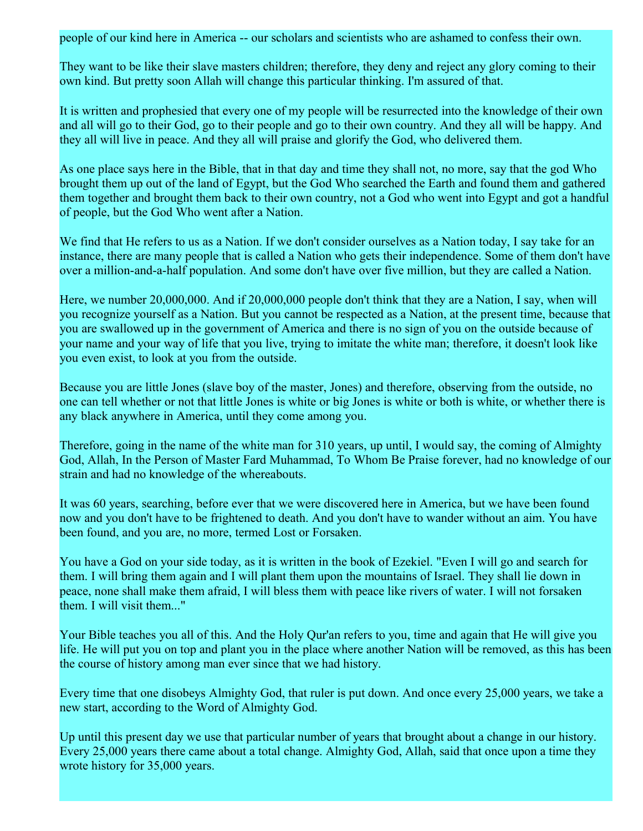people of our kind here in America -- our scholars and scientists who are ashamed to confess their own.

They want to be like their slave masters children; therefore, they deny and reject any glory coming to their own kind. But pretty soon Allah will change this particular thinking. I'm assured of that.

It is written and prophesied that every one of my people will be resurrected into the knowledge of their own and all will go to their God, go to their people and go to their own country. And they all will be happy. And they all will live in peace. And they all will praise and glorify the God, who delivered them.

As one place says here in the Bible, that in that day and time they shall not, no more, say that the god Who brought them up out of the land of Egypt, but the God Who searched the Earth and found them and gathered them together and brought them back to their own country, not a God who went into Egypt and got a handful of people, but the God Who went after a Nation.

We find that He refers to us as a Nation. If we don't consider ourselves as a Nation today, I say take for an instance, there are many people that is called a Nation who gets their independence. Some of them don't have over a million-and-a-half population. And some don't have over five million, but they are called a Nation.

Here, we number 20,000,000. And if 20,000,000 people don't think that they are a Nation, I say, when will you recognize yourself as a Nation. But you cannot be respected as a Nation, at the present time, because that you are swallowed up in the government of America and there is no sign of you on the outside because of your name and your way of life that you live, trying to imitate the white man; therefore, it doesn't look like you even exist, to look at you from the outside.

Because you are little Jones (slave boy of the master, Jones) and therefore, observing from the outside, no one can tell whether or not that little Jones is white or big Jones is white or both is white, or whether there is any black anywhere in America, until they come among you.

Therefore, going in the name of the white man for 310 years, up until, I would say, the coming of Almighty God, Allah, In the Person of Master Fard Muhammad, To Whom Be Praise forever, had no knowledge of our strain and had no knowledge of the whereabouts.

It was 60 years, searching, before ever that we were discovered here in America, but we have been found now and you don't have to be frightened to death. And you don't have to wander without an aim. You have been found, and you are, no more, termed Lost or Forsaken.

You have a God on your side today, as it is written in the book of Ezekiel. "Even I will go and search for them. I will bring them again and I will plant them upon the mountains of Israel. They shall lie down in peace, none shall make them afraid, I will bless them with peace like rivers of water. I will not forsaken them. I will visit them..."

Your Bible teaches you all of this. And the Holy Qur'an refers to you, time and again that He will give you life. He will put you on top and plant you in the place where another Nation will be removed, as this has been the course of history among man ever since that we had history.

Every time that one disobeys Almighty God, that ruler is put down. And once every 25,000 years, we take a new start, according to the Word of Almighty God.

Up until this present day we use that particular number of years that brought about a change in our history. Every 25,000 years there came about a total change. Almighty God, Allah, said that once upon a time they wrote history for 35,000 years.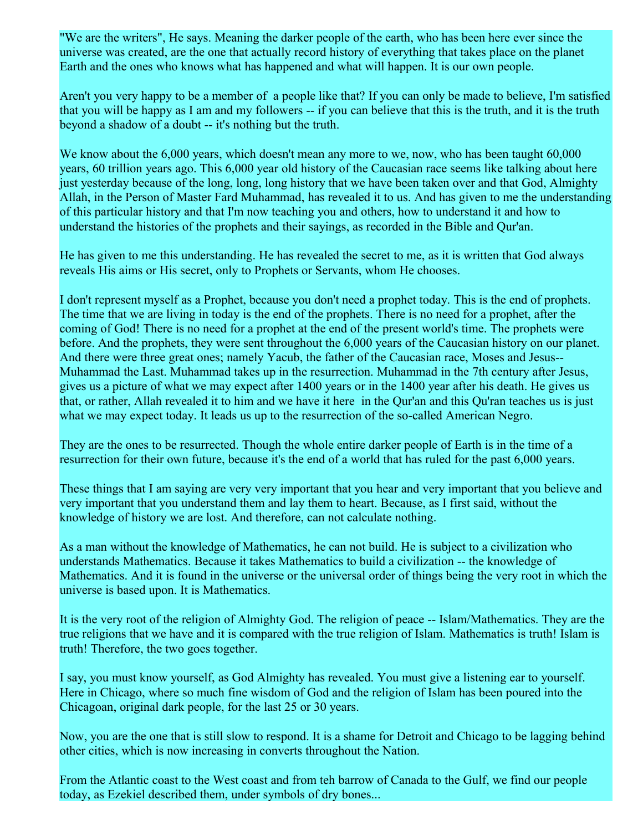"We are the writers", He says. Meaning the darker people of the earth, who has been here ever since the universe was created, are the one that actually record history of everything that takes place on the planet Earth and the ones who knows what has happened and what will happen. It is our own people.

Aren't you very happy to be a member of a people like that? If you can only be made to believe, I'm satisfied that you will be happy as I am and my followers -- if you can believe that this is the truth, and it is the truth beyond a shadow of a doubt -- it's nothing but the truth.

We know about the 6,000 years, which doesn't mean any more to we, now, who has been taught 60,000 years, 60 trillion years ago. This 6,000 year old history of the Caucasian race seems like talking about here just yesterday because of the long, long, long history that we have been taken over and that God, Almighty Allah, in the Person of Master Fard Muhammad, has revealed it to us. And has given to me the understanding of this particular history and that I'm now teaching you and others, how to understand it and how to understand the histories of the prophets and their sayings, as recorded in the Bible and Qur'an.

He has given to me this understanding. He has revealed the secret to me, as it is written that God always reveals His aims or His secret, only to Prophets or Servants, whom He chooses.

I don't represent myself as a Prophet, because you don't need a prophet today. This is the end of prophets. The time that we are living in today is the end of the prophets. There is no need for a prophet, after the coming of God! There is no need for a prophet at the end of the present world's time. The prophets were before. And the prophets, they were sent throughout the 6,000 years of the Caucasian history on our planet. And there were three great ones; namely Yacub, the father of the Caucasian race, Moses and Jesus-- Muhammad the Last. Muhammad takes up in the resurrection. Muhammad in the 7th century after Jesus, gives us a picture of what we may expect after 1400 years or in the 1400 year after his death. He gives us that, or rather, Allah revealed it to him and we have it here in the Qur'an and this Qu'ran teaches us is just what we may expect today. It leads us up to the resurrection of the so-called American Negro.

They are the ones to be resurrected. Though the whole entire darker people of Earth is in the time of a resurrection for their own future, because it's the end of a world that has ruled for the past 6,000 years.

These things that I am saying are very very important that you hear and very important that you believe and very important that you understand them and lay them to heart. Because, as I first said, without the knowledge of history we are lost. And therefore, can not calculate nothing.

As a man without the knowledge of Mathematics, he can not build. He is subject to a civilization who understands Mathematics. Because it takes Mathematics to build a civilization -- the knowledge of Mathematics. And it is found in the universe or the universal order of things being the very root in which the universe is based upon. It is Mathematics.

It is the very root of the religion of Almighty God. The religion of peace -- Islam/Mathematics. They are the true religions that we have and it is compared with the true religion of Islam. Mathematics is truth! Islam is truth! Therefore, the two goes together.

I say, you must know yourself, as God Almighty has revealed. You must give a listening ear to yourself. Here in Chicago, where so much fine wisdom of God and the religion of Islam has been poured into the Chicagoan, original dark people, for the last 25 or 30 years.

Now, you are the one that is still slow to respond. It is a shame for Detroit and Chicago to be lagging behind other cities, which is now increasing in converts throughout the Nation.

From the Atlantic coast to the West coast and from teh barrow of Canada to the Gulf, we find our people today, as Ezekiel described them, under symbols of dry bones...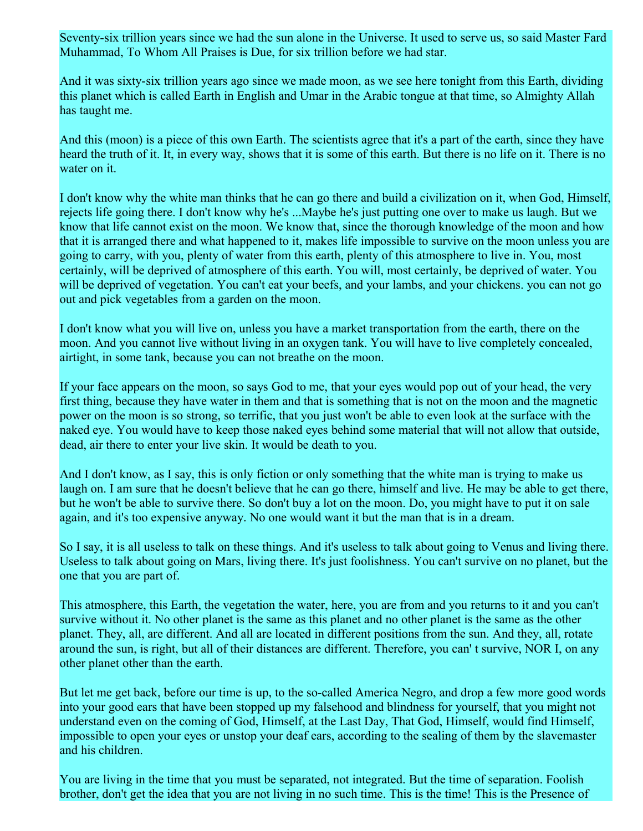Seventy-six trillion years since we had the sun alone in the Universe. It used to serve us, so said Master Fard Muhammad, To Whom All Praises is Due, for six trillion before we had star.

And it was sixty-six trillion years ago since we made moon, as we see here tonight from this Earth, dividing this planet which is called Earth in English and Umar in the Arabic tongue at that time, so Almighty Allah has taught me.

And this (moon) is a piece of this own Earth. The scientists agree that it's a part of the earth, since they have heard the truth of it. It, in every way, shows that it is some of this earth. But there is no life on it. There is no water on it.

I don't know why the white man thinks that he can go there and build a civilization on it, when God, Himself, rejects life going there. I don't know why he's ...Maybe he's just putting one over to make us laugh. But we know that life cannot exist on the moon. We know that, since the thorough knowledge of the moon and how that it is arranged there and what happened to it, makes life impossible to survive on the moon unless you are going to carry, with you, plenty of water from this earth, plenty of this atmosphere to live in. You, most certainly, will be deprived of atmosphere of this earth. You will, most certainly, be deprived of water. You will be deprived of vegetation. You can't eat your beefs, and your lambs, and your chickens. you can not go out and pick vegetables from a garden on the moon.

I don't know what you will live on, unless you have a market transportation from the earth, there on the moon. And you cannot live without living in an oxygen tank. You will have to live completely concealed, airtight, in some tank, because you can not breathe on the moon.

If your face appears on the moon, so says God to me, that your eyes would pop out of your head, the very first thing, because they have water in them and that is something that is not on the moon and the magnetic power on the moon is so strong, so terrific, that you just won't be able to even look at the surface with the naked eye. You would have to keep those naked eyes behind some material that will not allow that outside, dead, air there to enter your live skin. It would be death to you.

And I don't know, as I say, this is only fiction or only something that the white man is trying to make us laugh on. I am sure that he doesn't believe that he can go there, himself and live. He may be able to get there, but he won't be able to survive there. So don't buy a lot on the moon. Do, you might have to put it on sale again, and it's too expensive anyway. No one would want it but the man that is in a dream.

So I say, it is all useless to talk on these things. And it's useless to talk about going to Venus and living there. Useless to talk about going on Mars, living there. It's just foolishness. You can't survive on no planet, but the one that you are part of.

This atmosphere, this Earth, the vegetation the water, here, you are from and you returns to it and you can't survive without it. No other planet is the same as this planet and no other planet is the same as the other planet. They, all, are different. And all are located in different positions from the sun. And they, all, rotate around the sun, is right, but all of their distances are different. Therefore, you can' t survive, NOR I, on any other planet other than the earth.

But let me get back, before our time is up, to the so-called America Negro, and drop a few more good words into your good ears that have been stopped up my falsehood and blindness for yourself, that you might not understand even on the coming of God, Himself, at the Last Day, That God, Himself, would find Himself, impossible to open your eyes or unstop your deaf ears, according to the sealing of them by the slavemaster and his children.

You are living in the time that you must be separated, not integrated. But the time of separation. Foolish brother, don't get the idea that you are not living in no such time. This is the time! This is the Presence of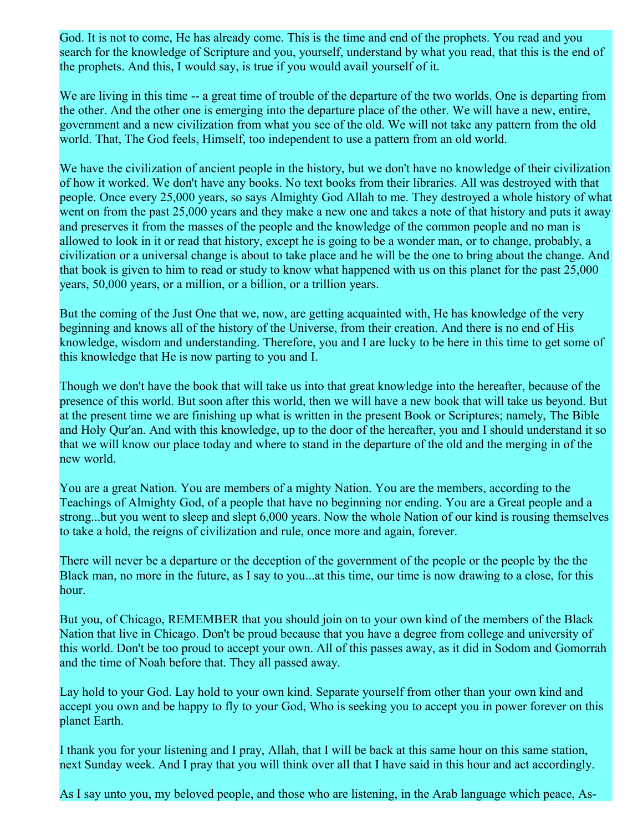God. It is not to come, He has already come. This is the time and end of the prophets. You read and you search for the knowledge of Scripture and you, yourself, understand by what you read, that this is the end of the prophets. And this, I would say, is true if you would avail yourself of it.

We are living in this time -- a great time of trouble of the departure of the two worlds. One is departing from the other. And the other one is emerging into the departure place of the other. We will have a new, entire, government and a new civilization from what you see of the old. We will not take any pattern from the old world. That, The God feels, Himself, too independent to use a pattern from an old world.

We have the civilization of ancient people in the history, but we don't have no knowledge of their civilization of how it worked. We don't have any books. No text books from their libraries. All was destroyed with that people. Once every 25,000 years, so says Almighty God Allah to me. They destroyed a whole history of what went on from the past 25,000 years and they make a new one and takes a note of that history and puts it away and preserves it from the masses of the people and the knowledge of the common people and no man is allowed to look in it or read that history, except he is going to be a wonder man, or to change, probably, a civilization or a universal change is about to take place and he will be the one to bring about the change. And that book is given to him to read or study to know what happened with us on this planet for the past 25,000 years, 50,000 years, or a million, or a billion, or a trillion years.

But the coming of the Just One that we, now, are getting acquainted with, He has knowledge of the very beginning and knows all of the history of the Universe, from their creation. And there is no end of His knowledge, wisdom and understanding. Therefore, you and I are lucky to be here in this time to get some of this knowledge that He is now parting to you and I.

Though we don't have the book that will take us into that great knowledge into the hereafter, because of the presence of this world. But soon after this world, then we will have a new book that will take us beyond. But at the present time we are finishing up what is written in the present Book or Scriptures; namely, The Bible and Holy Qur'an. And with this knowledge, up to the door of the hereafter, you and I should understand it so that we will know our place today and where to stand in the departure of the old and the merging in of the new world.

You are a great Nation. You are members of a mighty Nation. You are the members, according to the Teachings of Almighty God, of a people that have no beginning nor ending. You are a Great people and a strong...but you went to sleep and slept 6,000 years. Now the whole Nation of our kind is rousing themselves to take a hold, the reigns of civilization and rule, once more and again, forever.

There will never be a departure or the deception of the government of the people or the people by the the Black man, no more in the future, as I say to you...at this time, our time is now drawing to a close, for this hour.

But you, of Chicago, REMEMBER that you should join on to your own kind of the members of the Black Nation that live in Chicago. Don't be proud because that you have a degree from college and university of this world. Don't be too proud to accept your own. All of this passes away, as it did in Sodom and Gomorrah and the time of Noah before that. They all passed away.

Lay hold to your God. Lay hold to your own kind. Separate yourself from other than your own kind and accept you own and be happy to fly to your God, Who is seeking you to accept you in power forever on this planet Earth.

I thank you for your listening and I pray, Allah, that I will be back at this same hour on this same station, next Sunday week. And I pray that you will think over all that I have said in this hour and act accordingly.

As I say unto you, my beloved people, and those who are listening, in the Arab language which peace, As-